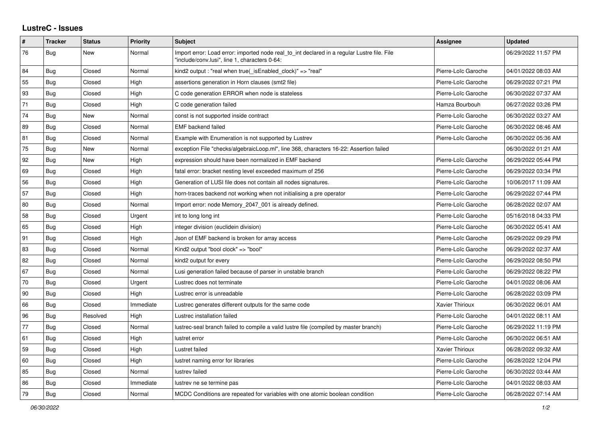## **LustreC - Issues**

| #  | <b>Tracker</b> | <b>Status</b> | <b>Priority</b> | <b>Subject</b>                                                                                                                               | <b>Assignee</b>     | <b>Updated</b>      |
|----|----------------|---------------|-----------------|----------------------------------------------------------------------------------------------------------------------------------------------|---------------------|---------------------|
| 76 | <b>Bug</b>     | New           | Normal          | Import error: Load error: imported node real to int declared in a regular Lustre file. File<br>"include/conv.lusi", line 1, characters 0-64: |                     | 06/29/2022 11:57 PM |
| 84 | Bug            | Closed        | Normal          | kind2 output : "real when true(_isEnabled_clock)" => "real"                                                                                  | Pierre-Loïc Garoche | 04/01/2022 08:03 AM |
| 55 | <b>Bug</b>     | Closed        | High            | assertions generation in Horn clauses (smt2 file)                                                                                            | Pierre-Loïc Garoche | 06/29/2022 07:21 PM |
| 93 | <b>Bug</b>     | Closed        | High            | C code generation ERROR when node is stateless                                                                                               | Pierre-Loïc Garoche | 06/30/2022 07:37 AM |
| 71 | <b>Bug</b>     | Closed        | High            | C code generation failed                                                                                                                     | Hamza Bourbouh      | 06/27/2022 03:26 PM |
| 74 | <b>Bug</b>     | <b>New</b>    | Normal          | const is not supported inside contract                                                                                                       | Pierre-Loïc Garoche | 06/30/2022 03:27 AM |
| 89 | <b>Bug</b>     | Closed        | Normal          | <b>EMF</b> backend failed                                                                                                                    | Pierre-Loïc Garoche | 06/30/2022 08:46 AM |
| 81 | <b>Bug</b>     | Closed        | Normal          | Example with Enumeration is not supported by Lustrev                                                                                         | Pierre-Loïc Garoche | 06/30/2022 05:36 AM |
| 75 | <b>Bug</b>     | New           | Normal          | exception File "checks/algebraicLoop.ml", line 368, characters 16-22: Assertion failed                                                       |                     | 06/30/2022 01:21 AM |
| 92 | <b>Bug</b>     | New           | High            | expression should have been normalized in EMF backend                                                                                        | Pierre-Loïc Garoche | 06/29/2022 05:44 PM |
| 69 | <b>Bug</b>     | Closed        | High            | fatal error: bracket nesting level exceeded maximum of 256                                                                                   | Pierre-Loïc Garoche | 06/29/2022 03:34 PM |
| 56 | Bug            | Closed        | High            | Generation of LUSI file does not contain all nodes signatures.                                                                               | Pierre-Loïc Garoche | 10/06/2017 11:09 AM |
| 57 | <b>Bug</b>     | Closed        | High            | horn-traces backend not working when not initialising a pre operator                                                                         | Pierre-Loïc Garoche | 06/29/2022 07:44 PM |
| 80 | <b>Bug</b>     | Closed        | Normal          | Import error: node Memory_2047_001 is already defined.                                                                                       | Pierre-Loïc Garoche | 06/28/2022 02:07 AM |
| 58 | <b>Bug</b>     | Closed        | Urgent          | int to long long int                                                                                                                         | Pierre-Loïc Garoche | 05/16/2018 04:33 PM |
| 65 | Bug            | Closed        | High            | integer division (euclidein division)                                                                                                        | Pierre-Loïc Garoche | 06/30/2022 05:41 AM |
| 91 | Bug            | Closed        | High            | Json of EMF backend is broken for array access                                                                                               | Pierre-Loïc Garoche | 06/29/2022 09:29 PM |
| 83 | Bug            | Closed        | Normal          | Kind2 output "bool clock" => "bool"                                                                                                          | Pierre-Loïc Garoche | 06/29/2022 02:37 AM |
| 82 | <b>Bug</b>     | Closed        | Normal          | kind2 output for every                                                                                                                       | Pierre-Loïc Garoche | 06/29/2022 08:50 PM |
| 67 | Bug            | Closed        | Normal          | Lusi generation failed because of parser in unstable branch                                                                                  | Pierre-Loïc Garoche | 06/29/2022 08:22 PM |
| 70 | Bug            | Closed        | Urgent          | Lustrec does not terminate                                                                                                                   | Pierre-Loïc Garoche | 04/01/2022 08:06 AM |
| 90 | Bug            | Closed        | High            | Lustrec error is unreadable                                                                                                                  | Pierre-Loïc Garoche | 06/28/2022 03:09 PM |
| 66 | <b>Bug</b>     | Closed        | Immediate       | Lustrec generates different outputs for the same code                                                                                        | Xavier Thirioux     | 06/30/2022 06:01 AM |
| 96 | Bug            | Resolved      | High            | Lustrec installation failed                                                                                                                  | Pierre-Loïc Garoche | 04/01/2022 08:11 AM |
| 77 | Bug            | Closed        | Normal          | lustrec-seal branch failed to compile a valid lustre file (compiled by master branch)                                                        | Pierre-Loïc Garoche | 06/29/2022 11:19 PM |
| 61 | Bug            | Closed        | High            | lustret error                                                                                                                                | Pierre-Loïc Garoche | 06/30/2022 06:51 AM |
| 59 | Bug            | Closed        | High            | Lustret failed                                                                                                                               | Xavier Thirioux     | 06/28/2022 09:32 AM |
| 60 | <b>Bug</b>     | Closed        | High            | lustret naming error for libraries                                                                                                           | Pierre-Loïc Garoche | 06/28/2022 12:04 PM |
| 85 | <b>Bug</b>     | Closed        | Normal          | lustrev failed                                                                                                                               | Pierre-Loïc Garoche | 06/30/2022 03:44 AM |
| 86 | Bug            | Closed        | Immediate       | lustrev ne se termine pas                                                                                                                    | Pierre-Loïc Garoche | 04/01/2022 08:03 AM |
| 79 | Bug            | Closed        | Normal          | MCDC Conditions are repeated for variables with one atomic boolean condition                                                                 | Pierre-Loïc Garoche | 06/28/2022 07:14 AM |